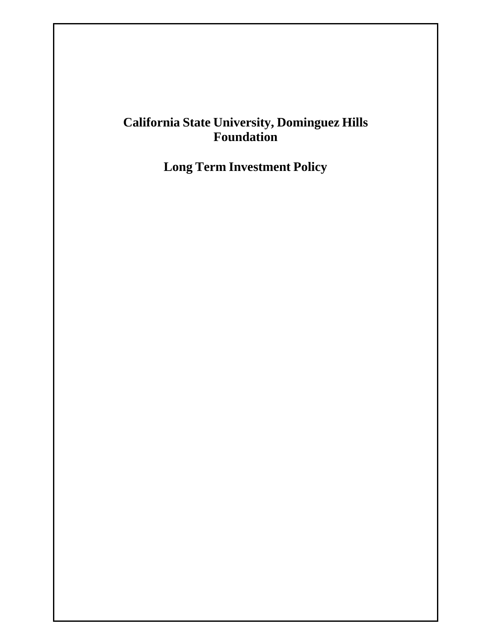# **California State University, Dominguez Hills Foundation**

**Long Term Investment Policy**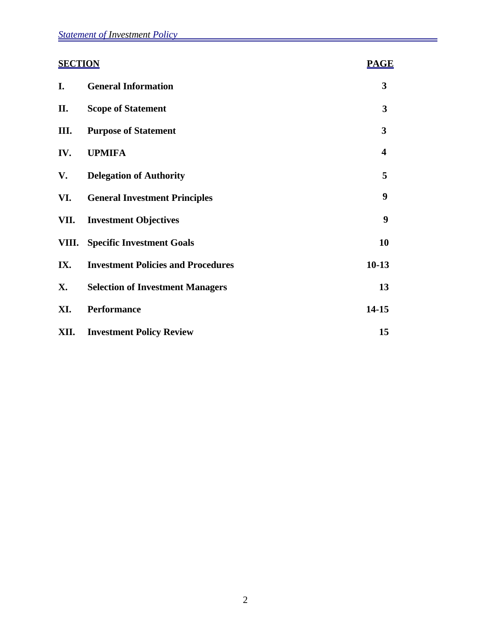| <b>SECTION</b> |                                           | <b>PAGE</b>             |
|----------------|-------------------------------------------|-------------------------|
| I.             | <b>General Information</b>                | 3                       |
| П.             | <b>Scope of Statement</b>                 | $\mathbf{3}$            |
| III.           | <b>Purpose of Statement</b>               | 3                       |
| IV.            | <b>UPMIFA</b>                             | $\overline{\mathbf{4}}$ |
| V.             | <b>Delegation of Authority</b>            | 5                       |
| VI.            | <b>General Investment Principles</b>      | 9                       |
| VII.           | <b>Investment Objectives</b>              | 9                       |
| VIII.          | <b>Specific Investment Goals</b>          | 10                      |
| IX.            | <b>Investment Policies and Procedures</b> | $10-13$                 |
| <b>X.</b>      | <b>Selection of Investment Managers</b>   | 13                      |
| XI.            | <b>Performance</b>                        | 14-15                   |
| XII.           | <b>Investment Policy Review</b>           | 15                      |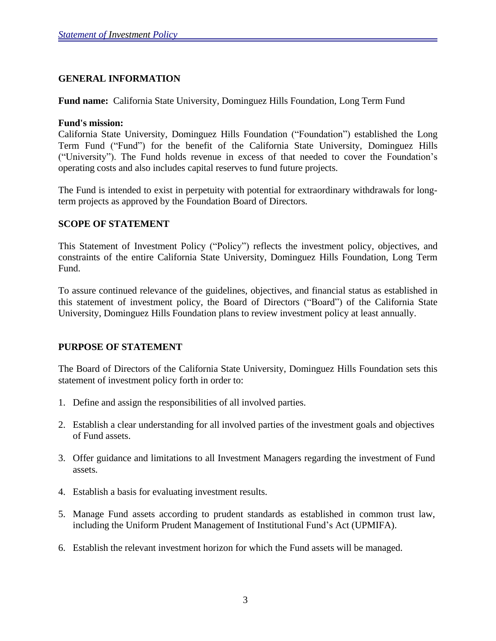### **GENERAL INFORMATION**

**Fund name:** California State University, Dominguez Hills Foundation, Long Term Fund

#### **Fund's mission:**

California State University, Dominguez Hills Foundation ("Foundation") established the Long Term Fund ("Fund") for the benefit of the California State University, Dominguez Hills ("University"). The Fund holds revenue in excess of that needed to cover the Foundation's operating costs and also includes capital reserves to fund future projects.

The Fund is intended to exist in perpetuity with potential for extraordinary withdrawals for longterm projects as approved by the Foundation Board of Directors.

#### **SCOPE OF STATEMENT**

This Statement of Investment Policy ("Policy") reflects the investment policy, objectives, and constraints of the entire California State University, Dominguez Hills Foundation, Long Term Fund.

To assure continued relevance of the guidelines, objectives, and financial status as established in this statement of investment policy, the Board of Directors ("Board") of the California State University, Dominguez Hills Foundation plans to review investment policy at least annually.

### **PURPOSE OF STATEMENT**

The Board of Directors of the California State University, Dominguez Hills Foundation sets this statement of investment policy forth in order to:

- 1. Define and assign the responsibilities of all involved parties.
- 2. Establish a clear understanding for all involved parties of the investment goals and objectives of Fund assets.
- 3. Offer guidance and limitations to all Investment Managers regarding the investment of Fund assets.
- 4. Establish a basis for evaluating investment results.
- 5. Manage Fund assets according to prudent standards as established in common trust law, including the Uniform Prudent Management of Institutional Fund's Act (UPMIFA).
- 6. Establish the relevant investment horizon for which the Fund assets will be managed.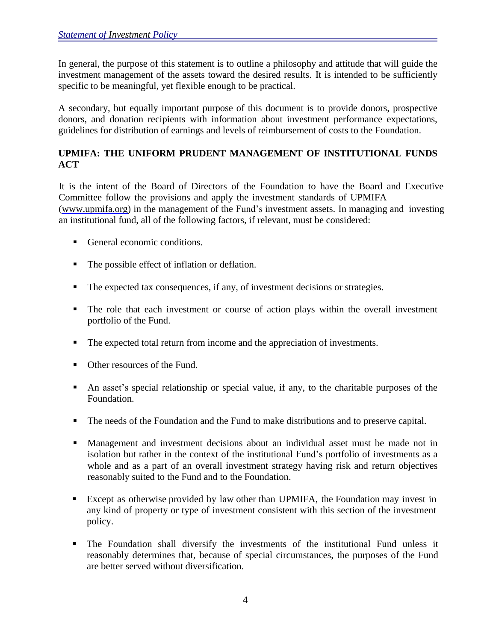In general, the purpose of this statement is to outline a philosophy and attitude that will guide the investment management of the assets toward the desired results. It is intended to be sufficiently specific to be meaningful, yet flexible enough to be practical.

A secondary, but equally important purpose of this document is to provide donors, prospective donors, and donation recipients with information about investment performance expectations, guidelines for distribution of earnings and levels of reimbursement of costs to the Foundation.

# **UPMIFA: THE UNIFORM PRUDENT MANAGEMENT OF INSTITUTIONAL FUNDS ACT**

It is the intent of the Board of Directors of the Foundation to have the Board and Executive Committee follow the provisions and apply the investment standards of UPMIFA [\(www.upmifa.org\)](http://www.upmifa.org/) in the management of the Fund's investment assets. In managing and investing an institutional fund, all of the following factors, if relevant, must be considered:

- General economic conditions.
- The possible effect of inflation or deflation.
- The expected tax consequences, if any, of investment decisions or strategies.
- The role that each investment or course of action plays within the overall investment portfolio of the Fund.
- The expected total return from income and the appreciation of investments.
- Other resources of the Fund.
- An asset's special relationship or special value, if any, to the charitable purposes of the Foundation.
- The needs of the Foundation and the Fund to make distributions and to preserve capital.
- Management and investment decisions about an individual asset must be made not in isolation but rather in the context of the institutional Fund's portfolio of investments as a whole and as a part of an overall investment strategy having risk and return objectives reasonably suited to the Fund and to the Foundation.
- Except as otherwise provided by law other than UPMIFA, the Foundation may invest in any kind of property or type of investment consistent with this section of the investment policy.
- The Foundation shall diversify the investments of the institutional Fund unless it reasonably determines that, because of special circumstances, the purposes of the Fund are better served without diversification.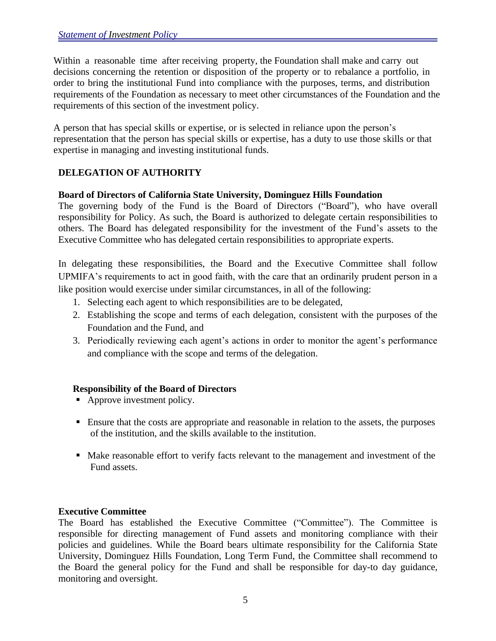Within a reasonable time after receiving property, the Foundation shall make and carry out decisions concerning the retention or disposition of the property or to rebalance a portfolio, in order to bring the institutional Fund into compliance with the purposes, terms, and distribution requirements of the Foundation as necessary to meet other circumstances of the Foundation and the requirements of this section of the investment policy.

A person that has special skills or expertise, or is selected in reliance upon the person's representation that the person has special skills or expertise, has a duty to use those skills or that expertise in managing and investing institutional funds.

# **DELEGATION OF AUTHORITY**

### **Board of Directors of California State University, Dominguez Hills Foundation**

The governing body of the Fund is the Board of Directors ("Board"), who have overall responsibility for Policy. As such, the Board is authorized to delegate certain responsibilities to others. The Board has delegated responsibility for the investment of the Fund's assets to the Executive Committee who has delegated certain responsibilities to appropriate experts.

In delegating these responsibilities, the Board and the Executive Committee shall follow UPMIFA's requirements to act in good faith, with the care that an ordinarily prudent person in a like position would exercise under similar circumstances, in all of the following:

- 1. Selecting each agent to which responsibilities are to be delegated,
- 2. Establishing the scope and terms of each delegation, consistent with the purposes of the Foundation and the Fund, and
- 3. Periodically reviewing each agent's actions in order to monitor the agent's performance and compliance with the scope and terms of the delegation.

### **Responsibility of the Board of Directors**

- Approve investment policy.
- **Ensure that the costs are appropriate and reasonable in relation to the assets, the purposes** of the institution, and the skills available to the institution.
- Make reasonable effort to verify facts relevant to the management and investment of the Fund assets.

# **Executive Committee**

The Board has established the Executive Committee ("Committee"). The Committee is responsible for directing management of Fund assets and monitoring compliance with their policies and guidelines. While the Board bears ultimate responsibility for the California State University, Dominguez Hills Foundation, Long Term Fund, the Committee shall recommend to the Board the general policy for the Fund and shall be responsible for day-to day guidance, monitoring and oversight.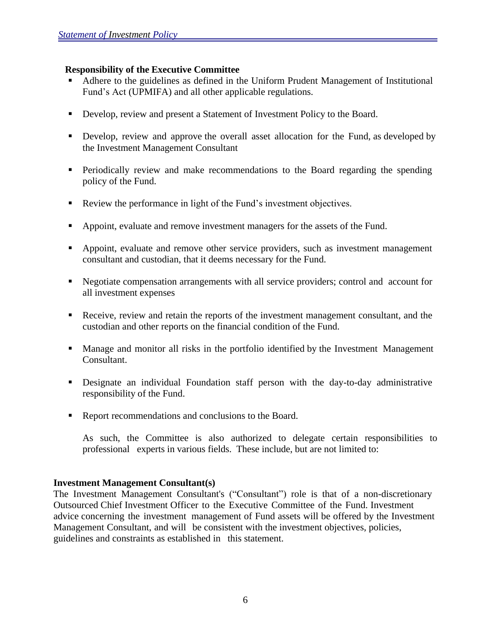#### **Responsibility of the Executive Committee**

- Adhere to the guidelines as defined in the Uniform Prudent Management of Institutional Fund's Act (UPMIFA) and all other applicable regulations.
- Develop, review and present a Statement of Investment Policy to the Board.
- **•** Develop, review and approve the overall asset allocation for the Fund, as developed by the Investment Management Consultant
- Periodically review and make recommendations to the Board regarding the spending policy of the Fund.
- Review the performance in light of the Fund's investment objectives.
- Appoint, evaluate and remove investment managers for the assets of the Fund.
- Appoint, evaluate and remove other service providers, such as investment management consultant and custodian, that it deems necessary for the Fund.
- Negotiate compensation arrangements with all service providers; control and account for all investment expenses
- Receive, review and retain the reports of the investment management consultant, and the custodian and other reports on the financial condition of the Fund.
- Manage and monitor all risks in the portfolio identified by the Investment Management Consultant.
- Designate an individual Foundation staff person with the day-to-day administrative responsibility of the Fund.
- Report recommendations and conclusions to the Board.

As such, the Committee is also authorized to delegate certain responsibilities to professional experts in various fields. These include, but are not limited to:

#### **Investment Management Consultant(s)**

The Investment Management Consultant's ("Consultant") role is that of a non-discretionary Outsourced Chief Investment Officer to the Executive Committee of the Fund. Investment advice concerning the investment management of Fund assets will be offered by the Investment Management Consultant, and will be consistent with the investment objectives, policies, guidelines and constraints as established in this statement.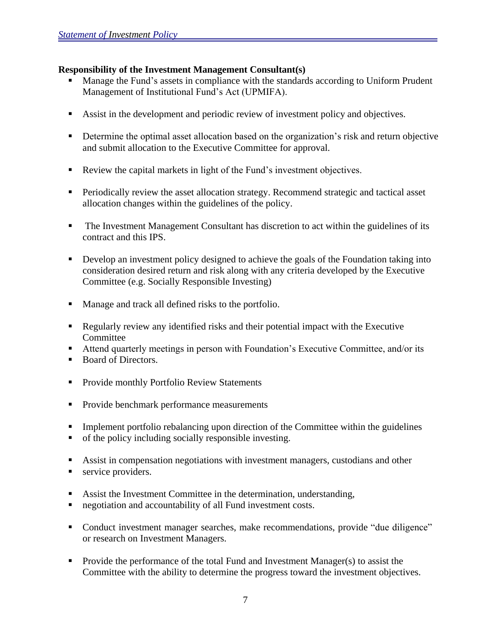# **Responsibility of the Investment Management Consultant(s)**

- Manage the Fund's assets in compliance with the standards according to Uniform Prudent Management of Institutional Fund's Act (UPMIFA).
- Assist in the development and periodic review of investment policy and objectives.
- **•** Determine the optimal asset allocation based on the organization's risk and return objective and submit allocation to the Executive Committee for approval.
- Review the capital markets in light of the Fund's investment objectives.
- **Periodically review the asset allocation strategy. Recommend strategic and tactical asset** allocation changes within the guidelines of the policy.
- The Investment Management Consultant has discretion to act within the guidelines of its contract and this IPS.
- **•** Develop an investment policy designed to achieve the goals of the Foundation taking into consideration desired return and risk along with any criteria developed by the Executive Committee (e.g. Socially Responsible Investing)
- Manage and track all defined risks to the portfolio.
- Regularly review any identified risks and their potential impact with the Executive Committee
- Attend quarterly meetings in person with Foundation's Executive Committee, and/or its
- Board of Directors.
- **Provide monthly Portfolio Review Statements**
- **Provide benchmark performance measurements**
- Implement portfolio rebalancing upon direction of the Committee within the guidelines
- of the policy including socially responsible investing.
- Assist in compensation negotiations with investment managers, custodians and other
- service providers.
- Assist the Investment Committee in the determination, understanding,
- negotiation and accountability of all Fund investment costs.
- Conduct investment manager searches, make recommendations, provide "due diligence" or research on Investment Managers.
- **Provide the performance of the total Fund and Investment Manager(s) to assist the** Committee with the ability to determine the progress toward the investment objectives.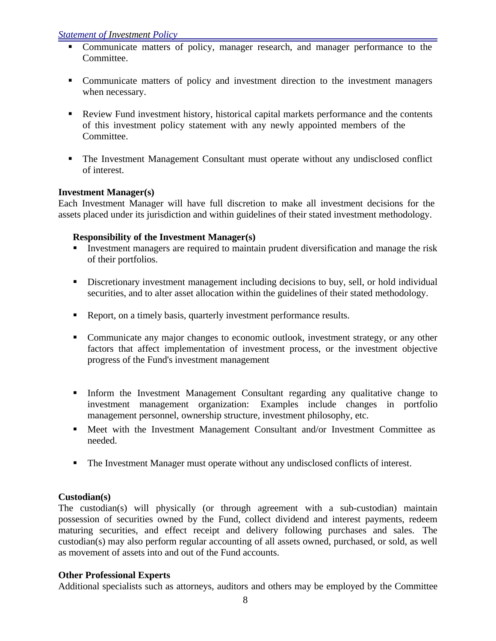- Communicate matters of policy, manager research, and manager performance to the Committee.
- Communicate matters of policy and investment direction to the investment managers when necessary.
- Review Fund investment history, historical capital markets performance and the contents of this investment policy statement with any newly appointed members of the Committee.
- The Investment Management Consultant must operate without any undisclosed conflict of interest.

# **Investment Manager(s)**

Each Investment Manager will have full discretion to make all investment decisions for the assets placed under its jurisdiction and within guidelines of their stated investment methodology.

# **Responsibility of the Investment Manager(s)**

- Investment managers are required to maintain prudent diversification and manage the risk of their portfolios.
- Discretionary investment management including decisions to buy, sell, or hold individual securities, and to alter asset allocation within the guidelines of their stated methodology.
- Report, on a timely basis, quarterly investment performance results.
- Communicate any major changes to economic outlook, investment strategy, or any other factors that affect implementation of investment process, or the investment objective progress of the Fund's investment management
- Inform the Investment Management Consultant regarding any qualitative change to investment management organization: Examples include changes in portfolio management personnel, ownership structure, investment philosophy, etc.
- Meet with the Investment Management Consultant and/or Investment Committee as needed.
- The Investment Manager must operate without any undisclosed conflicts of interest.

# **Custodian(s)**

The custodian(s) will physically (or through agreement with a sub-custodian) maintain possession of securities owned by the Fund, collect dividend and interest payments, redeem maturing securities, and effect receipt and delivery following purchases and sales. The custodian(s) may also perform regular accounting of all assets owned, purchased, or sold, as well as movement of assets into and out of the Fund accounts.

### **Other Professional Experts**

Additional specialists such as attorneys, auditors and others may be employed by the Committee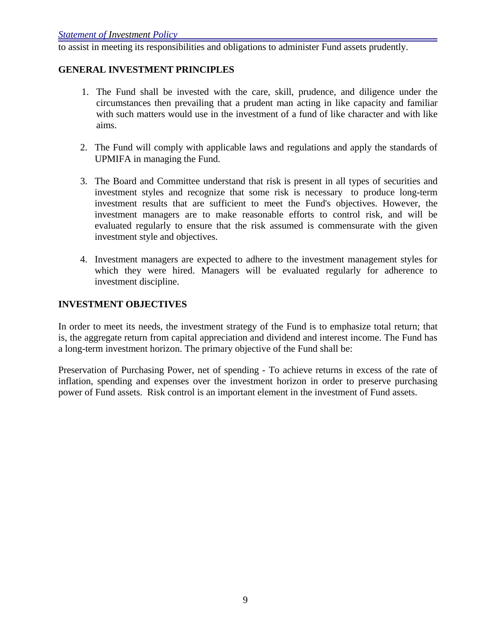to assist in meeting its responsibilities and obligations to administer Fund assets prudently.

### **GENERAL INVESTMENT PRINCIPLES**

- 1. The Fund shall be invested with the care, skill, prudence, and diligence under the circumstances then prevailing that a prudent man acting in like capacity and familiar with such matters would use in the investment of a fund of like character and with like aims.
- 2. The Fund will comply with applicable laws and regulations and apply the standards of UPMIFA in managing the Fund.
- 3. The Board and Committee understand that risk is present in all types of securities and investment styles and recognize that some risk is necessary to produce long-term investment results that are sufficient to meet the Fund's objectives. However, the investment managers are to make reasonable efforts to control risk, and will be evaluated regularly to ensure that the risk assumed is commensurate with the given investment style and objectives.
- 4. Investment managers are expected to adhere to the investment management styles for which they were hired. Managers will be evaluated regularly for adherence to investment discipline.

### **INVESTMENT OBJECTIVES**

In order to meet its needs, the investment strategy of the Fund is to emphasize total return; that is, the aggregate return from capital appreciation and dividend and interest income. The Fund has a long-term investment horizon. The primary objective of the Fund shall be:

Preservation of Purchasing Power, net of spending - To achieve returns in excess of the rate of inflation, spending and expenses over the investment horizon in order to preserve purchasing power of Fund assets. Risk control is an important element in the investment of Fund assets.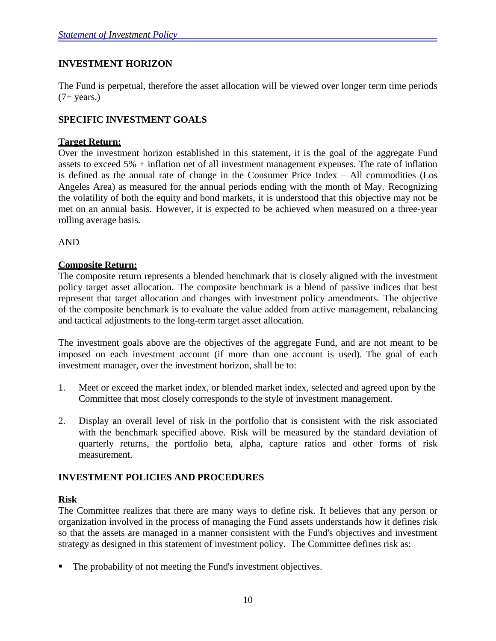# **INVESTMENT HORIZON**

The Fund is perpetual, therefore the asset allocation will be viewed over longer term time periods  $(7+ \text{years.})$ 

### **SPECIFIC INVESTMENT GOALS**

#### **Target Return:**

Over the investment horizon established in this statement, it is the goal of the aggregate Fund assets to exceed 5% + inflation net of all investment management expenses. The rate of inflation is defined as the annual rate of change in the Consumer Price Index – All commodities (Los Angeles Area) as measured for the annual periods ending with the month of May. Recognizing the volatility of both the equity and bond markets, it is understood that this objective may not be met on an annual basis. However, it is expected to be achieved when measured on a three-year rolling average basis.

AND

### **Composite Return:**

The composite return represents a blended benchmark that is closely aligned with the investment policy target asset allocation. The composite benchmark is a blend of passive indices that best represent that target allocation and changes with investment policy amendments. The objective of the composite benchmark is to evaluate the value added from active management, rebalancing and tactical adjustments to the long-term target asset allocation.

The investment goals above are the objectives of the aggregate Fund, and are not meant to be imposed on each investment account (if more than one account is used). The goal of each investment manager, over the investment horizon, shall be to:

- 1. Meet or exceed the market index, or blended market index, selected and agreed upon by the Committee that most closely corresponds to the style of investment management.
- 2. Display an overall level of risk in the portfolio that is consistent with the risk associated with the benchmark specified above. Risk will be measured by the standard deviation of quarterly returns, the portfolio beta, alpha, capture ratios and other forms of risk measurement.

### **INVESTMENT POLICIES AND PROCEDURES**

#### **Risk**

The Committee realizes that there are many ways to define risk. It believes that any person or organization involved in the process of managing the Fund assets understands how it defines risk so that the assets are managed in a manner consistent with the Fund's objectives and investment strategy as designed in this statement of investment policy. The Committee defines risk as:

The probability of not meeting the Fund's investment objectives.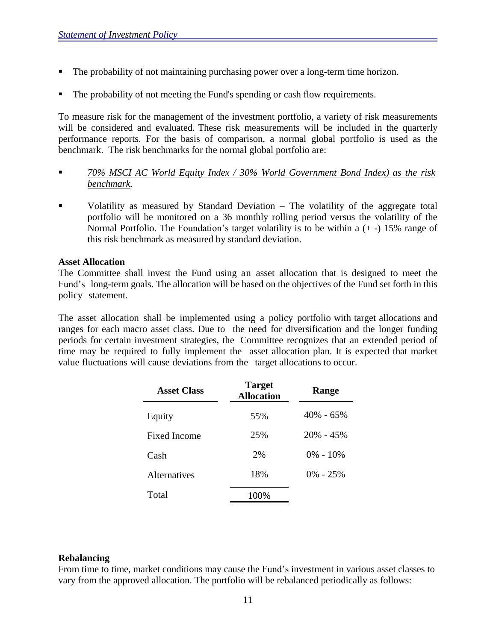- The probability of not maintaining purchasing power over a long-term time horizon.
- The probability of not meeting the Fund's spending or cash flow requirements.

To measure risk for the management of the investment portfolio, a variety of risk measurements will be considered and evaluated. These risk measurements will be included in the quarterly performance reports. For the basis of comparison, a normal global portfolio is used as the benchmark. The risk benchmarks for the normal global portfolio are:

- *70% MSCI AC World Equity Index / 30% World Government Bond Index) as the risk benchmark.*
- Volatility as measured by Standard Deviation The volatility of the aggregate total portfolio will be monitored on a 36 monthly rolling period versus the volatility of the Normal Portfolio. The Foundation's target volatility is to be within a  $(+)$  15% range of this risk benchmark as measured by standard deviation.

#### **Asset Allocation**

The Committee shall invest the Fund using an asset allocation that is designed to meet the Fund's long-term goals. The allocation will be based on the objectives of the Fund set forth in this policy statement.

The asset allocation shall be implemented using a policy portfolio with target allocations and ranges for each macro asset class. Due to the need for diversification and the longer funding periods for certain investment strategies, the Committee recognizes that an extended period of time may be required to fully implement the asset allocation plan. It is expected that market value fluctuations will cause deviations from the target allocations to occur.

| <b>Asset Class</b>  | <b>Target</b><br><b>Allocation</b> | Range         |
|---------------------|------------------------------------|---------------|
| Equity              | 55%                                | 40% - 65%     |
| Fixed Income        | 25%                                | $20\% - 45\%$ |
| Cash                | 2%                                 | $0\% - 10\%$  |
| <b>Alternatives</b> | 18%                                | $0\% - 25\%$  |
| Total               | 100%                               |               |

#### **Rebalancing**

From time to time, market conditions may cause the Fund's investment in various asset classes to vary from the approved allocation. The portfolio will be rebalanced periodically as follows: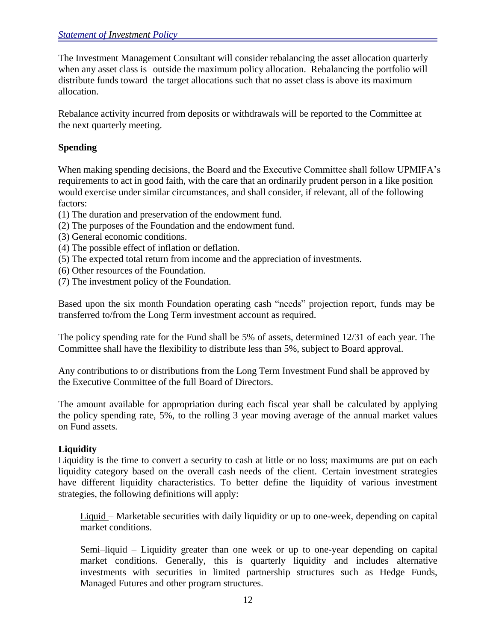The Investment Management Consultant will consider rebalancing the asset allocation quarterly when any asset class is outside the maximum policy allocation. Rebalancing the portfolio will distribute funds toward the target allocations such that no asset class is above its maximum allocation.

Rebalance activity incurred from deposits or withdrawals will be reported to the Committee at the next quarterly meeting.

# **Spending**

When making spending decisions, the Board and the Executive Committee shall follow UPMIFA's requirements to act in good faith, with the care that an ordinarily prudent person in a like position would exercise under similar circumstances, and shall consider, if relevant, all of the following factors:

- (1) The duration and preservation of the endowment fund.
- (2) The purposes of the Foundation and the endowment fund.
- (3) General economic conditions.
- (4) The possible effect of inflation or deflation.
- (5) The expected total return from income and the appreciation of investments.
- (6) Other resources of the Foundation.
- (7) The investment policy of the Foundation.

Based upon the six month Foundation operating cash "needs" projection report, funds may be transferred to/from the Long Term investment account as required.

The policy spending rate for the Fund shall be 5% of assets, determined 12/31 of each year. The Committee shall have the flexibility to distribute less than 5%, subject to Board approval.

Any contributions to or distributions from the Long Term Investment Fund shall be approved by the Executive Committee of the full Board of Directors.

The amount available for appropriation during each fiscal year shall be calculated by applying the policy spending rate, 5%, to the rolling 3 year moving average of the annual market values on Fund assets.

### **Liquidity**

Liquidity is the time to convert a security to cash at little or no loss; maximums are put on each liquidity category based on the overall cash needs of the client. Certain investment strategies have different liquidity characteristics. To better define the liquidity of various investment strategies, the following definitions will apply:

Liquid – Marketable securities with daily liquidity or up to one-week, depending on capital market conditions.

Semi–liquid – Liquidity greater than one week or up to one-year depending on capital market conditions. Generally, this is quarterly liquidity and includes alternative investments with securities in limited partnership structures such as Hedge Funds, Managed Futures and other program structures.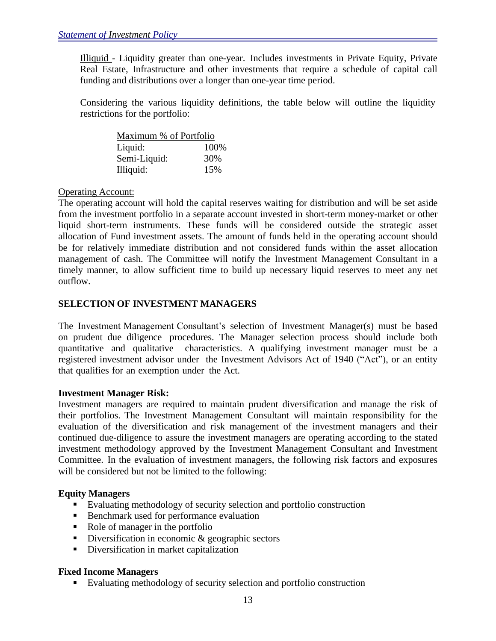Illiquid - Liquidity greater than one-year. Includes investments in Private Equity, Private Real Estate, Infrastructure and other investments that require a schedule of capital call funding and distributions over a longer than one-year time period.

Considering the various liquidity definitions, the table below will outline the liquidity restrictions for the portfolio:

| Maximum % of Portfolio |       |  |  |
|------------------------|-------|--|--|
| Liquid:                | 100\% |  |  |
| Semi-Liquid:           | 30%   |  |  |
| Illiquid:              | 15%   |  |  |

# Operating Account:

The operating account will hold the capital reserves waiting for distribution and will be set aside from the investment portfolio in a separate account invested in short-term money-market or other liquid short-term instruments. These funds will be considered outside the strategic asset allocation of Fund investment assets. The amount of funds held in the operating account should be for relatively immediate distribution and not considered funds within the asset allocation management of cash. The Committee will notify the Investment Management Consultant in a timely manner, to allow sufficient time to build up necessary liquid reserves to meet any net outflow.

# **SELECTION OF INVESTMENT MANAGERS**

The Investment Management Consultant's selection of Investment Manager(s) must be based on prudent due diligence procedures. The Manager selection process should include both quantitative and qualitative characteristics. A qualifying investment manager must be a registered investment advisor under the Investment Advisors Act of 1940 ("Act"), or an entity that qualifies for an exemption under the Act.

### **Investment Manager Risk:**

Investment managers are required to maintain prudent diversification and manage the risk of their portfolios. The Investment Management Consultant will maintain responsibility for the evaluation of the diversification and risk management of the investment managers and their continued due-diligence to assure the investment managers are operating according to the stated investment methodology approved by the Investment Management Consultant and Investment Committee. In the evaluation of investment managers, the following risk factors and exposures will be considered but not be limited to the following:

### **Equity Managers**

- Evaluating methodology of security selection and portfolio construction
- **Benchmark used for performance evaluation**
- Role of manager in the portfolio
- Diversification in economic  $\&$  geographic sectors
- Diversification in market capitalization

# **Fixed Income Managers**

Evaluating methodology of security selection and portfolio construction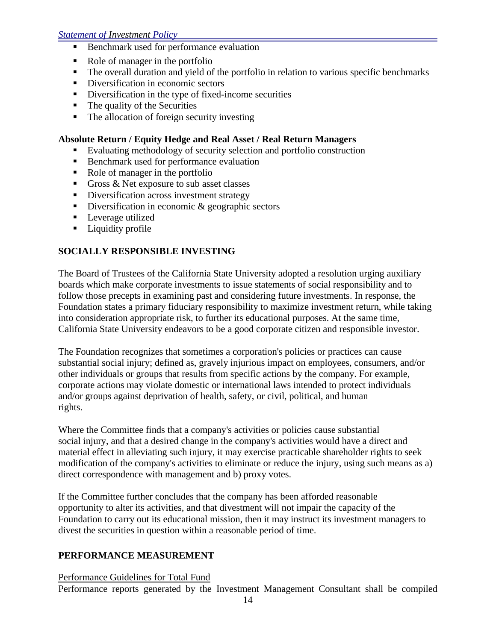#### *Statement of Investment Policy*

- Benchmark used for performance evaluation
- Role of manager in the portfolio
- The overall duration and yield of the portfolio in relation to various specific benchmarks
- Diversification in economic sectors
- Diversification in the type of fixed-income securities
- $\blacksquare$  The quality of the Securities
- The allocation of foreign security investing

#### **Absolute Return / Equity Hedge and Real Asset / Real Return Managers**

- Evaluating methodology of security selection and portfolio construction
- Benchmark used for performance evaluation
- Role of manager in the portfolio
- Gross & Net exposure to sub asset classes
- Diversification across investment strategy
- Diversification in economic  $\&$  geographic sectors
- **Leverage utilized**
- **Liquidity profile**

### **SOCIALLY RESPONSIBLE INVESTING**

The Board of Trustees of the California State University adopted a resolution urging auxiliary boards which make corporate investments to issue statements of social responsibility and to follow those precepts in examining past and considering future investments. In response, the Foundation states a primary fiduciary responsibility to maximize investment return, while taking into consideration appropriate risk, to further its educational purposes. At the same time, California State University endeavors to be a good corporate citizen and responsible investor.

The Foundation recognizes that sometimes a corporation's policies or practices can cause substantial social injury; defined as, gravely injurious impact on employees, consumers, and/or other individuals or groups that results from specific actions by the company. For example, corporate actions may violate domestic or international laws intended to protect individuals and/or groups against deprivation of health, safety, or civil, political, and human rights.

Where the Committee finds that a company's activities or policies cause substantial social injury, and that a desired change in the company's activities would have a direct and material effect in alleviating such injury, it may exercise practicable shareholder rights to seek modification of the company's activities to eliminate or reduce the injury, using such means as a) direct correspondence with management and b) proxy votes.

If the Committee further concludes that the company has been afforded reasonable opportunity to alter its activities, and that divestment will not impair the capacity of the Foundation to carry out its educational mission, then it may instruct its investment managers to divest the securities in question within a reasonable period of time.

### **PERFORMANCE MEASUREMENT**

Performance Guidelines for Total Fund

Performance reports generated by the Investment Management Consultant shall be compiled